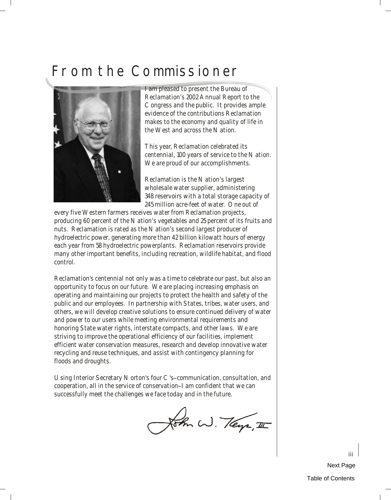## <span id="page-0-0"></span>[From the Commissioner](#page-3-0)



I am pleased to present the Bureau of Reclamation's 2002 Annual Report to the Congress and the public. It provides ample evidence of the contributions Reclamation makes to the economy and quality of life in the West and across the Nation.

This year, Reclamation celebrated its centennial, 100 years of service to the Nation. We are proud of our accomplishments.

Reclamation is the Nation's largest wholesale water supplier, administering 348 reservoirs with a total storage capacity of 245 million acre-feet of water. One out of

every five Western farmers receives water from Reclamation projects, producing 60 percent of the Nation's vegetables and 25 percent of its fruits and nuts. Reclamation is rated as the Nation's second largest producer of hydroelectric power, generating more than 42 billion kilowatt hours of energy each year from 58 hydroelectric powerplants. Reclamation reservoirs provide many other important benefits, including recreation, wildlife habitat, and flood control.

Reclamation's centennial not only was a time to celebrate our past, but also an opportunity to focus on our future. We are placing increasing emphasis on operating and maintaining our projects to protect the health and safety of the public and our employees. In partnership with States, tribes, water users, and others, we will develop creative solutions to ensure continued delivery of water and power to our users while meeting environmental requirements and honoring State water rights, interstate compacts, and other laws. We are striving to improve the operational efficiency of our facilities, implement efficient water conservation measures, research and develop innovative water recycling and reuse techniques, and assist with contingency planning for floods and droughts.

Using Interior Secretary Norton's four C's-communication, consultation, and cooperation, all in the service of conservation-I am confident that we can successfully meet the challenges we face today and in the future.

John W. Teys, II

[Next Page](#page-1-0) [Table of Contents](#page-3-0)

iii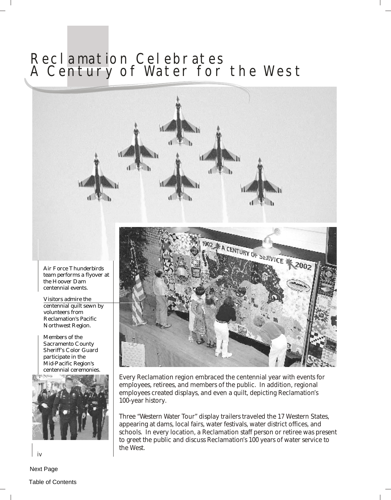## <span id="page-1-0"></span>Reclamation Celebrates [A Century of Water for the West](#page-3-0)



Every Reclamation region embraced the centennial year with events for employees, retirees, and members of the public. In addition, regional employees created displays, and even a quilt, depicting Reclamation's 100-year history.

Three "Western Water Tour" display trailers traveled the 17 Western States, appearing at dams, local fairs, water festivals, water district offices, and schools. In every location, a Reclamation staff person or retiree was present to greet the public and discuss Reclamation's 100 years of water service to the West.

team performs a flyover at the Hoover Dam centennial events.

Visitors admire the centennial quilt sewn by volunteers from Reclamation's Pacific Northwest Region.

Members of the Sacramento County Sheriff's Color Guard participate in the Mid-Pacific Region's centennial ceremonies.



iv

[Next Page](#page-2-0)

[Table of Contents](#page-3-0)